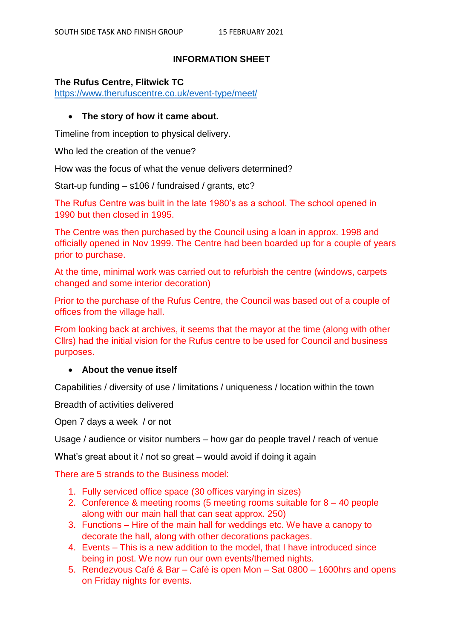### **INFORMATION SHEET**

#### **The Rufus Centre, Flitwick TC**

<https://www.therufuscentre.co.uk/event-type/meet/>

### **The story of how it came about.**

Timeline from inception to physical delivery.

Who led the creation of the venue?

How was the focus of what the venue delivers determined?

Start-up funding – s106 / fundraised / grants, etc?

The Rufus Centre was built in the late 1980's as a school. The school opened in 1990 but then closed in 1995.

The Centre was then purchased by the Council using a loan in approx. 1998 and officially opened in Nov 1999. The Centre had been boarded up for a couple of years prior to purchase.

At the time, minimal work was carried out to refurbish the centre (windows, carpets changed and some interior decoration)

Prior to the purchase of the Rufus Centre, the Council was based out of a couple of offices from the village hall.

From looking back at archives, it seems that the mayor at the time (along with other Cllrs) had the initial vision for the Rufus centre to be used for Council and business purposes.

#### **About the venue itself**

Capabilities / diversity of use / limitations / uniqueness / location within the town

Breadth of activities delivered

Open 7 days a week / or not

Usage / audience or visitor numbers – how gar do people travel / reach of venue

What's great about it / not so great – would avoid if doing it again

There are 5 strands to the Business model:

- 1. Fully serviced office space (30 offices varying in sizes)
- 2. Conference & meeting rooms (5 meeting rooms suitable for 8 40 people along with our main hall that can seat approx. 250)
- 3. Functions Hire of the main hall for weddings etc. We have a canopy to decorate the hall, along with other decorations packages.
- 4. Events This is a new addition to the model, that I have introduced since being in post. We now run our own events/themed nights.
- 5. Rendezvous Café & Bar Café is open Mon Sat 0800 1600hrs and opens on Friday nights for events.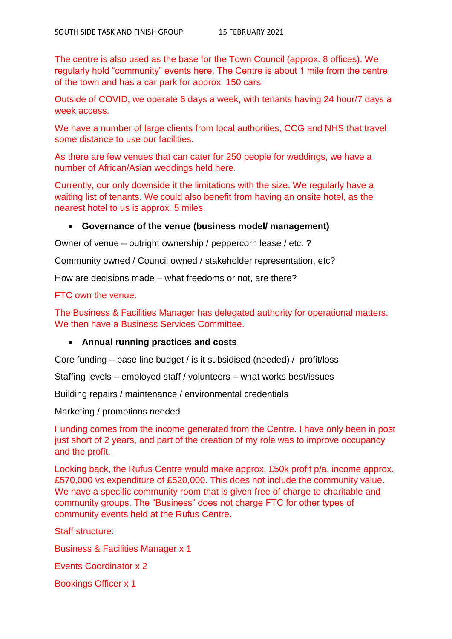The centre is also used as the base for the Town Council (approx. 8 offices). We regularly hold "community" events here. The Centre is about 1 mile from the centre of the town and has a car park for approx. 150 cars.

Outside of COVID, we operate 6 days a week, with tenants having 24 hour/7 days a week access.

We have a number of large clients from local authorities, CCG and NHS that travel some distance to use our facilities.

As there are few venues that can cater for 250 people for weddings, we have a number of African/Asian weddings held here.

Currently, our only downside it the limitations with the size. We regularly have a waiting list of tenants. We could also benefit from having an onsite hotel, as the nearest hotel to us is approx. 5 miles.

# **Governance of the venue (business model/ management)**

Owner of venue – outright ownership / peppercorn lease / etc. ?

Community owned / Council owned / stakeholder representation, etc?

How are decisions made – what freedoms or not, are there?

FTC own the venue.

The Business & Facilities Manager has delegated authority for operational matters. We then have a Business Services Committee.

# **Annual running practices and costs**

Core funding – base line budget / is it subsidised (needed) / profit/loss

Staffing levels – employed staff / volunteers – what works best/issues

Building repairs / maintenance / environmental credentials

Marketing / promotions needed

Funding comes from the income generated from the Centre. I have only been in post just short of 2 years, and part of the creation of my role was to improve occupancy and the profit.

Looking back, the Rufus Centre would make approx. £50k profit p/a. income approx. £570,000 vs expenditure of £520,000. This does not include the community value. We have a specific community room that is given free of charge to charitable and community groups. The "Business" does not charge FTC for other types of community events held at the Rufus Centre.

Staff structure:

Business & Facilities Manager x 1

Events Coordinator x 2

Bookings Officer x 1